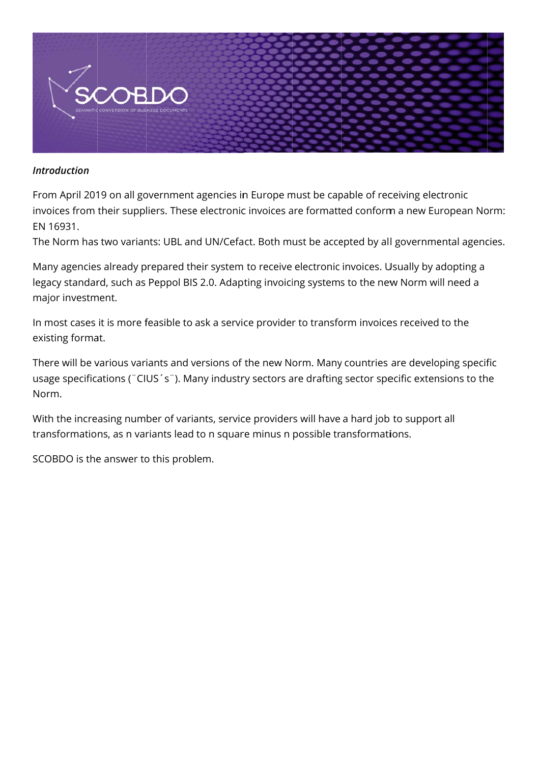

#### **Introduction**

From April 2019 on all government agencies in Europe must be capable of receiving electronic invoices from their suppliers. These electronic invoices are formatted conform a new European Norm: EN 16931.

The Norm has two variants: UBL and UN/Cefact. Both must be accepted by all governmental agencies.

Many agencies already prepared their system to receive electronic invoices. Usually by adopting a legacy standard, such as Peppol BIS 2.0. Adapting invoicing systems to the new Norm will need a major investment.

In most cases it is more feasible to ask a service provider to transform invoices received to the existing format.

There will be various variants and versions of the new Norm. Many countries are developing specific usage specifications ("CIUS's"). Many industry sectors are drafting sector specific extensions to the Norm.

With the increasing number of variants, service providers will have a hard job to support all transformations, as n variants lead to n square minus n possible transformations.

SCOBDO is the answer to this problem.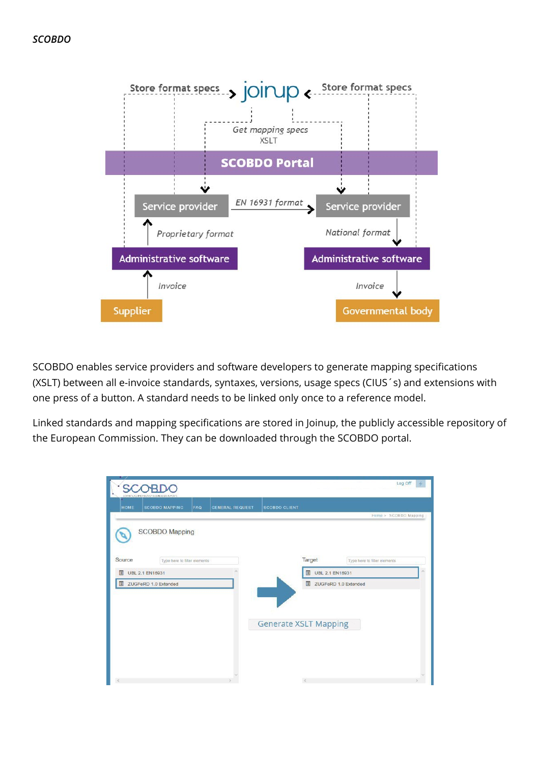

SCOBDO enables service providers and software developers to generate mapping specifications (XSLT) between all e-invoice standards, syntaxes, versions, usage specs (CIUS´s) and extensions with one press of a button. A standard needs to be linked only once to a reference model.

Linked standards and mapping specifications are stored in Joinup, the publicly accessible repository of the European Commission. They can be downloaded through the SCOBDO portal.

|             |                                                                   |                               |                              |                             | Log Off                                |
|-------------|-------------------------------------------------------------------|-------------------------------|------------------------------|-----------------------------|----------------------------------------|
| <b>HOME</b> | SEVANDE CONVERSION OF BUSINESS DOCUMENTS<br><b>SCOBDO MAPPING</b> | FAQ<br><b>GENERAL REQUEST</b> | <b>SCOBDO CLIENT</b>         |                             |                                        |
|             |                                                                   |                               |                              |                             | Home > SCOBDO Mapping                  |
|             | <b>SCOBDO Mapping</b>                                             |                               |                              |                             |                                        |
|             |                                                                   |                               |                              |                             |                                        |
| Source      | Type here to filter elements                                      |                               |                              | Target                      | Type here to filter elements<br>$\sim$ |
| 圓           | <b>UBL 2.1 EN16931</b>                                            |                               |                              | <b>UBL 2.1 EN16931</b><br>圓 |                                        |
|             | ZUGFeRD 1.0 Extended                                              |                               |                              |                             | ZUGFeRD 1.0 Extended                   |
|             |                                                                   |                               |                              |                             |                                        |
|             |                                                                   |                               | <b>Generate XSLT Mapping</b> |                             |                                        |
|             |                                                                   |                               |                              |                             |                                        |
|             |                                                                   |                               |                              |                             |                                        |
|             |                                                                   |                               |                              |                             |                                        |
|             |                                                                   |                               |                              |                             |                                        |
|             |                                                                   |                               |                              | $\leq$                      |                                        |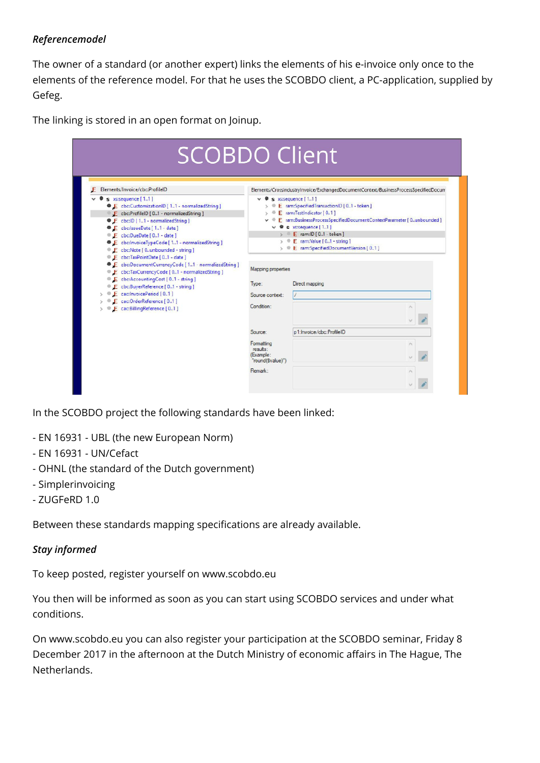## *Referencemodel*

The owner of a standard (or another expert) links the elements of his e-invoice only once to the elements of the reference model. For that he uses the SCOBDO client, a PC-application, supplied by Gefeg.

The linking is stored in an open format on Joinup.

| Elements/Invoice/cbc:ProfileID                                                                                                                                                                                                                                                                                                                               |                                                                                                                                                                                                                                                                                                                                                                                        | Elements/CrossIndustryInvoice/ExchangedDocumentContext/BusinessProcessSpecifiedDocum |  |  |
|--------------------------------------------------------------------------------------------------------------------------------------------------------------------------------------------------------------------------------------------------------------------------------------------------------------------------------------------------------------|----------------------------------------------------------------------------------------------------------------------------------------------------------------------------------------------------------------------------------------------------------------------------------------------------------------------------------------------------------------------------------------|--------------------------------------------------------------------------------------|--|--|
| s xsisequence [1.1]<br>E cbc:CustomizationID [ 11 - normalizedString ]<br>E cbc:ProfileID [01 - normalizedString ]<br><sup>9</sup> F cbc:ID [11 - normalizedString]<br><b>E</b> cbc:IssueDate [ 11 - date ]<br>E cbc:DueDate [01 - date ]<br>E cbc:InvoiceTypeCode [ 11 - normalizedString ]<br>E cbc:Note [ 0unbounded - string ]                           | $\vee$ <b><math>\bullet</math></b> s xs:sequence [11]<br>E ram:SpecifiedTransactionID [01 - token ]<br>E ram:TestIndicator [01]<br>$\circ$<br>E ram:BusinessProcessSpecifiedDocumentContextParameter [0unbounded]<br>$\vee$ <b>@</b> s xs:sequence [11]<br>> E ram:ID [ 01 - token ]<br>$\triangleright \oplus E$ ram:Value [01 - string ]<br>> © E ram:SpecifiedDocumentVersion [01 ] |                                                                                      |  |  |
| Ecbc:TaxPointDate [01 - date ]<br><sup>®</sup> E cbc:DocumentCurrencyCode [11 - normalizedString ]<br>E cbc:TaxCurrencyCode [01 - normalizedString ]<br>E cbc:AccountingCost [01 - string]<br>E cbc:BuyerReference [01 - string ]<br>$\rightarrow$ $\bullet$ $\bullet$ cac: InvoicePeriod [01]<br>E cac:OrderReference [01]<br>> E cac:BillingReference [01] | <b>Mapping properties</b><br>Type:<br>Source context:<br>Condition:                                                                                                                                                                                                                                                                                                                    | Direct mapping                                                                       |  |  |
|                                                                                                                                                                                                                                                                                                                                                              | Source:                                                                                                                                                                                                                                                                                                                                                                                | p1:Invoice/cbc:ProfileID                                                             |  |  |
|                                                                                                                                                                                                                                                                                                                                                              | Formatting<br>results:<br>(Example:                                                                                                                                                                                                                                                                                                                                                    |                                                                                      |  |  |

In the SCOBDO project the following standards have been linked:

- EN 16931 UBL (the new European Norm)
- EN 16931 UN/Cefact
- OHNL (the standard of the Dutch government)
- Simplerinvoicing
- ZUGFeRD 1.0

Between these standards mapping specifications are already available.

### *Stay informed*

To keep posted, register yourself on www.scobdo.eu

You then will be informed as soon as you can start using SCOBDO services and under what conditions.

On www.scobdo.eu you can also register your participation at the SCOBDO seminar, Friday 8 December 2017 in the afternoon at the Dutch Ministry of economic affairs in The Hague, The Netherlands.